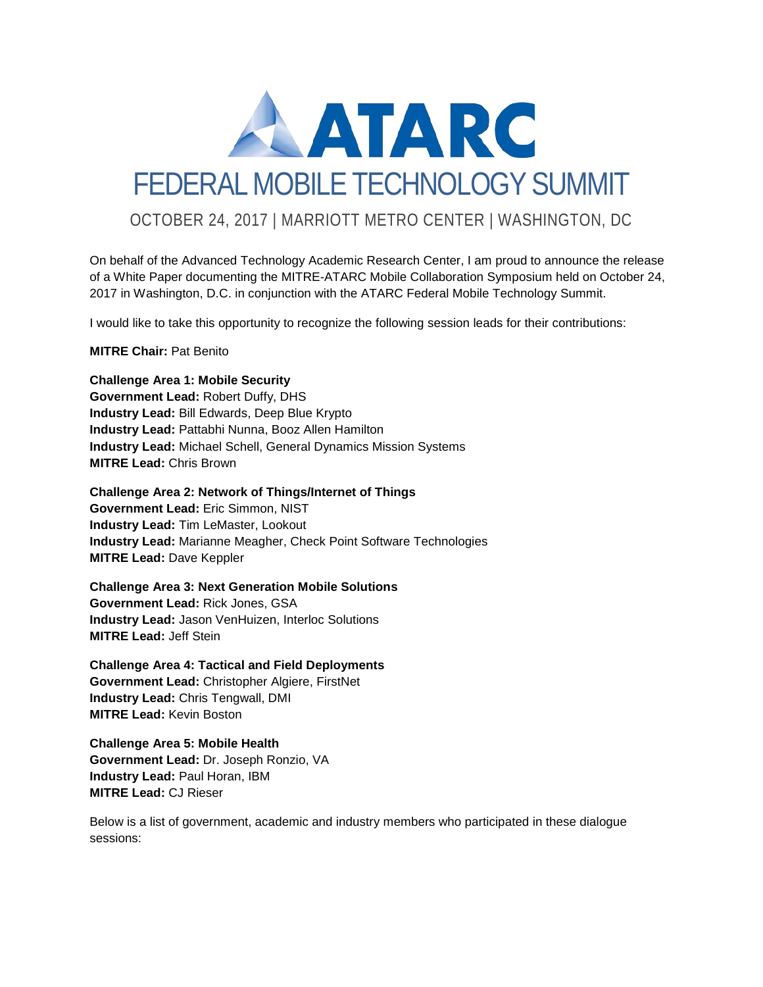

On behalf of the Advanced Technology Academic Research Center, I am proud to announce the release of a White Paper documenting the MITRE-ATARC Mobile Collaboration Symposium held on October 24, 2017 in Washington, D.C. in conjunction with the ATARC Federal Mobile Technology Summit.

I would like to take this opportunity to recognize the following session leads for their contributions:

**MITRE Chair:** Pat Benito

**Challenge Area 1: Mobile Security**

**Government Lead:** Robert Duffy, DHS **Industry Lead:** Bill Edwards, Deep Blue Krypto **Industry Lead:** Pattabhi Nunna, Booz Allen Hamilton **Industry Lead:** Michael Schell, General Dynamics Mission Systems **MITRE Lead:** Chris Brown

**Challenge Area 2: Network of Things/Internet of Things Government Lead:** Eric Simmon, NIST **Industry Lead:** Tim LeMaster, Lookout **Industry Lead:** Marianne Meagher, Check Point Software Technologies **MITRE Lead:** Dave Keppler

**Challenge Area 3: Next Generation Mobile Solutions Government Lead:** Rick Jones, GSA **Industry Lead:** Jason VenHuizen, Interloc Solutions **MITRE Lead:** Jeff Stein

**Challenge Area 4: Tactical and Field Deployments Government Lead:** Christopher Algiere, FirstNet **Industry Lead:** Chris Tengwall, DMI **MITRE Lead:** Kevin Boston

**Challenge Area 5: Mobile Health Government Lead:** Dr. Joseph Ronzio, VA **Industry Lead:** Paul Horan, IBM **MITRE Lead:** CJ Rieser

Below is a list of government, academic and industry members who participated in these dialogue sessions: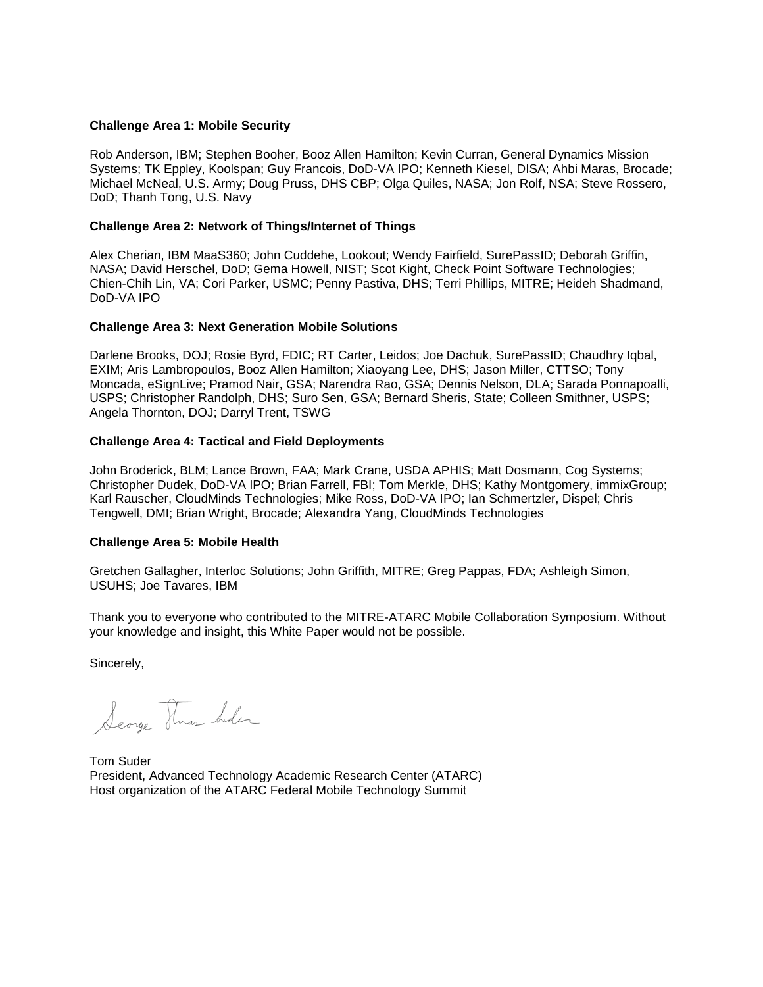#### **Challenge Area 1: Mobile Security**

Rob Anderson, IBM; Stephen Booher, Booz Allen Hamilton; Kevin Curran, General Dynamics Mission Systems; TK Eppley, Koolspan; Guy Francois, DoD-VA IPO; Kenneth Kiesel, DISA; Ahbi Maras, Brocade; Michael McNeal, U.S. Army; Doug Pruss, DHS CBP; Olga Quiles, NASA; Jon Rolf, NSA; Steve Rossero, DoD; Thanh Tong, U.S. Navy

#### **Challenge Area 2: Network of Things/Internet of Things**

Alex Cherian, IBM MaaS360; John Cuddehe, Lookout; Wendy Fairfield, SurePassID; Deborah Griffin, NASA; David Herschel, DoD; Gema Howell, NIST; Scot Kight, Check Point Software Technologies; Chien-Chih Lin, VA; Cori Parker, USMC; Penny Pastiva, DHS; Terri Phillips, MITRE; Heideh Shadmand, DoD-VA IPO

#### **Challenge Area 3: Next Generation Mobile Solutions**

Darlene Brooks, DOJ; Rosie Byrd, FDIC; RT Carter, Leidos; Joe Dachuk, SurePassID; Chaudhry Iqbal, EXIM; Aris Lambropoulos, Booz Allen Hamilton; Xiaoyang Lee, DHS; Jason Miller, CTTSO; Tony Moncada, eSignLive; Pramod Nair, GSA; Narendra Rao, GSA; Dennis Nelson, DLA; Sarada Ponnapoalli, USPS; Christopher Randolph, DHS; Suro Sen, GSA; Bernard Sheris, State; Colleen Smithner, USPS; Angela Thornton, DOJ; Darryl Trent, TSWG

#### **Challenge Area 4: Tactical and Field Deployments**

John Broderick, BLM; Lance Brown, FAA; Mark Crane, USDA APHIS; Matt Dosmann, Cog Systems; Christopher Dudek, DoD-VA IPO; Brian Farrell, FBI; Tom Merkle, DHS; Kathy Montgomery, immixGroup; Karl Rauscher, CloudMinds Technologies; Mike Ross, DoD-VA IPO; Ian Schmertzler, Dispel; Chris Tengwell, DMI; Brian Wright, Brocade; Alexandra Yang, CloudMinds Technologies

#### **Challenge Area 5: Mobile Health**

Gretchen Gallagher, Interloc Solutions; John Griffith, MITRE; Greg Pappas, FDA; Ashleigh Simon, USUHS; Joe Tavares, IBM

Thank you to everyone who contributed to the MITRE-ATARC Mobile Collaboration Symposium. Without your knowledge and insight, this White Paper would not be possible.

Sincerely,

Searge Thras Ander

Tom Suder President, Advanced Technology Academic Research Center (ATARC) Host organization of the ATARC Federal Mobile Technology Summit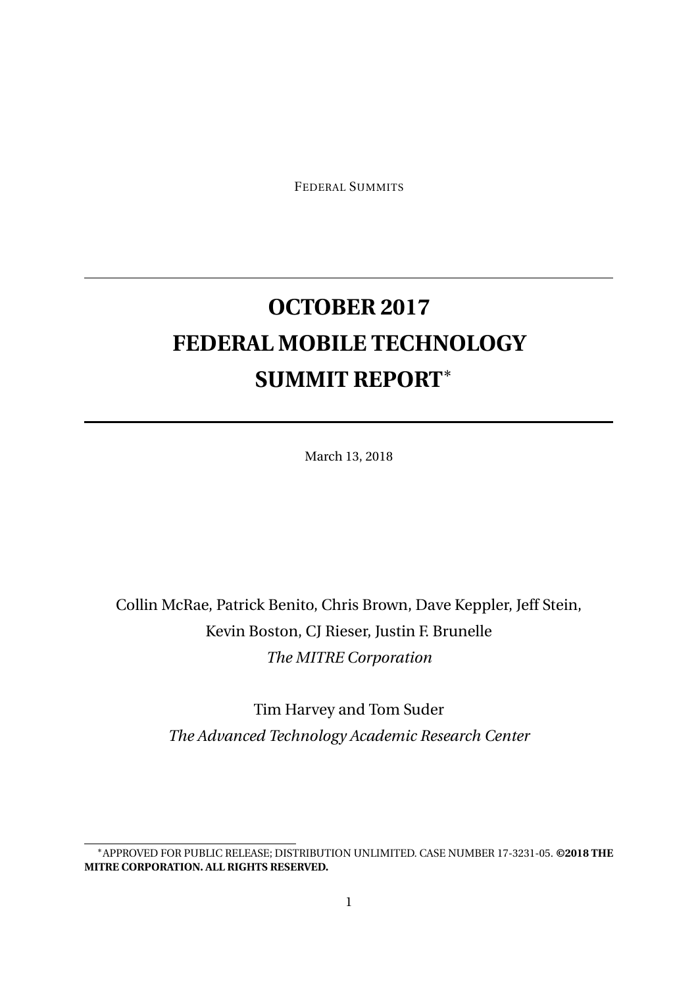FEDERAL SUMMITS

# **OCTOBER 2017 FEDERAL MOBILE TECHNOLOGY SUMMIT REPORT**<sup>∗</sup>

March 13, 2018

Collin McRae, Patrick Benito, Chris Brown, Dave Keppler, Jeff Stein, Kevin Boston, CJ Rieser, Justin F. Brunelle *The MITRE Corporation*

> Tim Harvey and Tom Suder *The Advanced Technology Academic Research Center*

<sup>∗</sup>APPROVED FOR PUBLIC RELEASE; DISTRIBUTION UNLIMITED. CASE NUMBER 17-3231-05. **©2018 THE MITRE CORPORATION. ALL RIGHTS RESERVED.**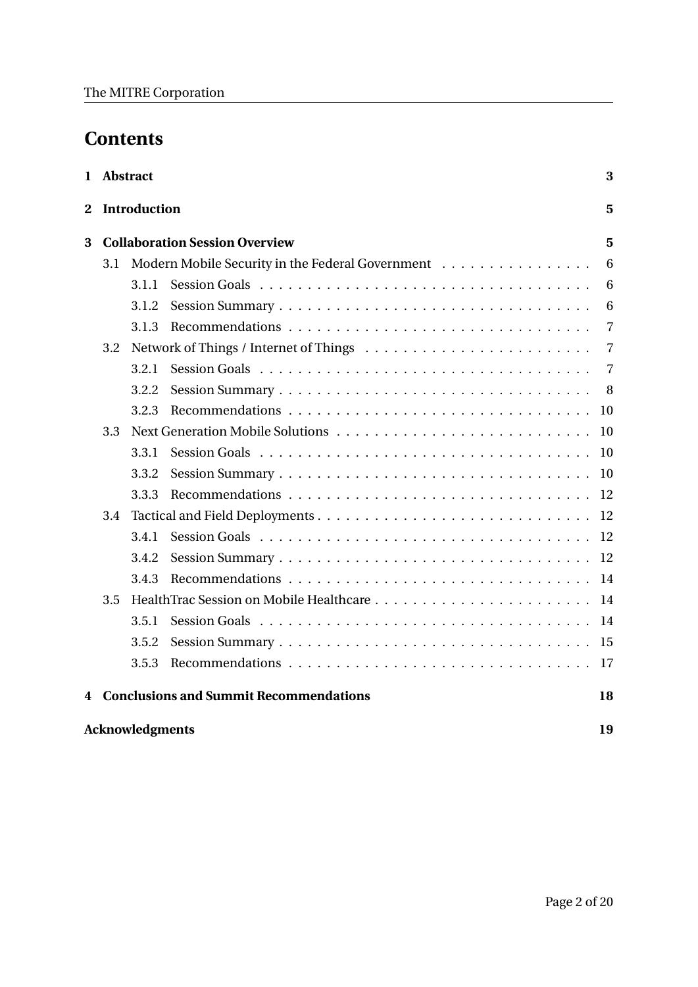## **Contents**

|                          |     | 1 Abstract |                                                  | 3         |  |  |  |  |  |
|--------------------------|-----|------------|--------------------------------------------------|-----------|--|--|--|--|--|
| 2<br><b>Introduction</b> |     |            |                                                  |           |  |  |  |  |  |
| 3                        |     |            | <b>Collaboration Session Overview</b>            | 5         |  |  |  |  |  |
|                          | 3.1 |            | Modern Mobile Security in the Federal Government | 6         |  |  |  |  |  |
|                          |     | 3.1.1      |                                                  | 6         |  |  |  |  |  |
|                          |     | 3.1.2      |                                                  | 6         |  |  |  |  |  |
|                          |     | 3.1.3      |                                                  | 7         |  |  |  |  |  |
|                          | 3.2 |            |                                                  | 7         |  |  |  |  |  |
|                          |     | 3.2.1      |                                                  | 7         |  |  |  |  |  |
|                          |     | 3.2.2      |                                                  | 8         |  |  |  |  |  |
|                          |     | 3.2.3      |                                                  | 10        |  |  |  |  |  |
|                          | 3.3 |            |                                                  |           |  |  |  |  |  |
|                          |     | 3.3.1      |                                                  | <b>10</b> |  |  |  |  |  |
|                          |     | 3.3.2      |                                                  | 10        |  |  |  |  |  |
|                          |     | 3.3.3      |                                                  | 12        |  |  |  |  |  |
|                          | 3.4 |            |                                                  | 12        |  |  |  |  |  |
|                          |     | 3.4.1      |                                                  | 12        |  |  |  |  |  |
|                          |     | 3.4.2      |                                                  | 12        |  |  |  |  |  |
|                          |     | 3.4.3      |                                                  | 14        |  |  |  |  |  |
|                          | 3.5 |            |                                                  | 14        |  |  |  |  |  |
|                          |     | 3.5.1      |                                                  | 14        |  |  |  |  |  |
|                          |     | 3.5.2      |                                                  | 15        |  |  |  |  |  |
|                          |     | 3.5.3      |                                                  | -17       |  |  |  |  |  |
| 4                        |     |            | <b>Conclusions and Summit Recommendations</b>    | 18        |  |  |  |  |  |
| <b>Acknowledgments</b>   |     |            |                                                  |           |  |  |  |  |  |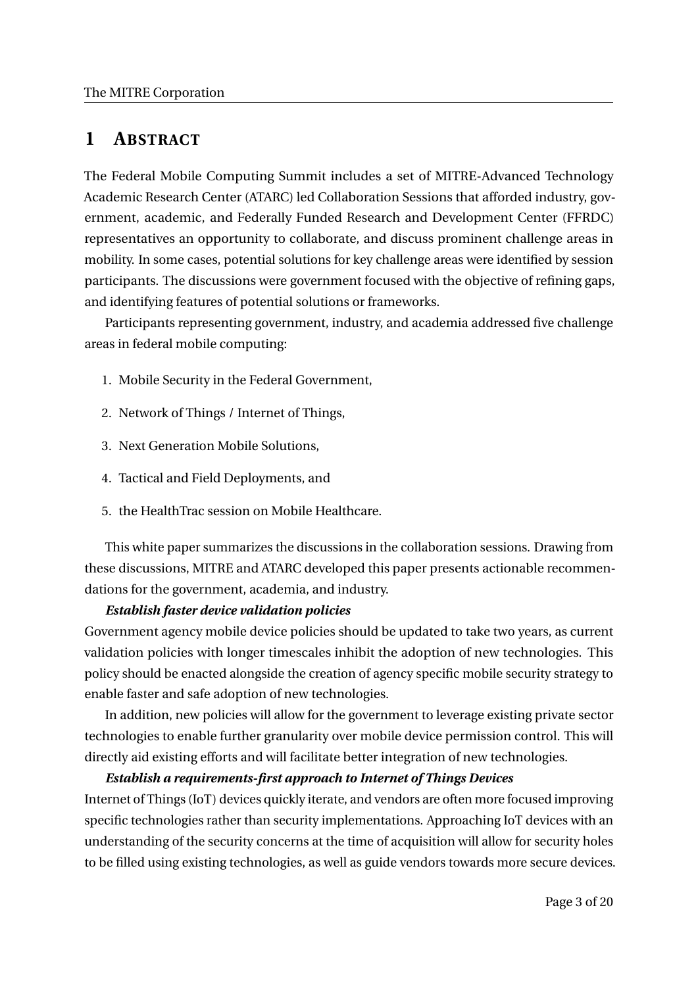## **1 ABSTRACT**

The Federal Mobile Computing Summit includes a set of MITRE-Advanced Technology Academic Research Center (ATARC) led Collaboration Sessions that afforded industry, government, academic, and Federally Funded Research and Development Center (FFRDC) representatives an opportunity to collaborate, and discuss prominent challenge areas in mobility. In some cases, potential solutions for key challenge areas were identified by session participants. The discussions were government focused with the objective of refining gaps, and identifying features of potential solutions or frameworks.

Participants representing government, industry, and academia addressed five challenge areas in federal mobile computing:

- 1. Mobile Security in the Federal Government,
- 2. Network of Things / Internet of Things,
- 3. Next Generation Mobile Solutions,
- 4. Tactical and Field Deployments, and
- 5. the HealthTrac session on Mobile Healthcare.

This white paper summarizes the discussions in the collaboration sessions. Drawing from these discussions, MITRE and ATARC developed this paper presents actionable recommendations for the government, academia, and industry.

#### *Establish faster device validation policies*

Government agency mobile device policies should be updated to take two years, as current validation policies with longer timescales inhibit the adoption of new technologies. This policy should be enacted alongside the creation of agency specific mobile security strategy to enable faster and safe adoption of new technologies.

In addition, new policies will allow for the government to leverage existing private sector technologies to enable further granularity over mobile device permission control. This will directly aid existing efforts and will facilitate better integration of new technologies.

#### *Establish a requirements-first approach to Internet of Things Devices*

Internet of Things (IoT) devices quickly iterate, and vendors are often more focused improving specific technologies rather than security implementations. Approaching IoT devices with an understanding of the security concerns at the time of acquisition will allow for security holes to be filled using existing technologies, as well as guide vendors towards more secure devices.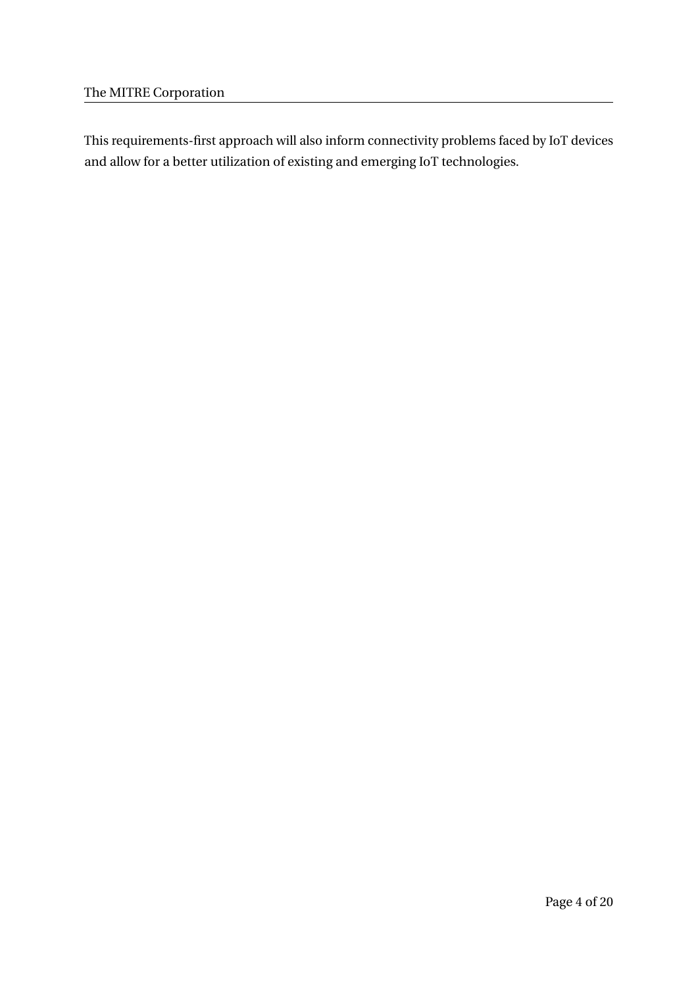This requirements-first approach will also inform connectivity problems faced by IoT devices and allow for a better utilization of existing and emerging IoT technologies.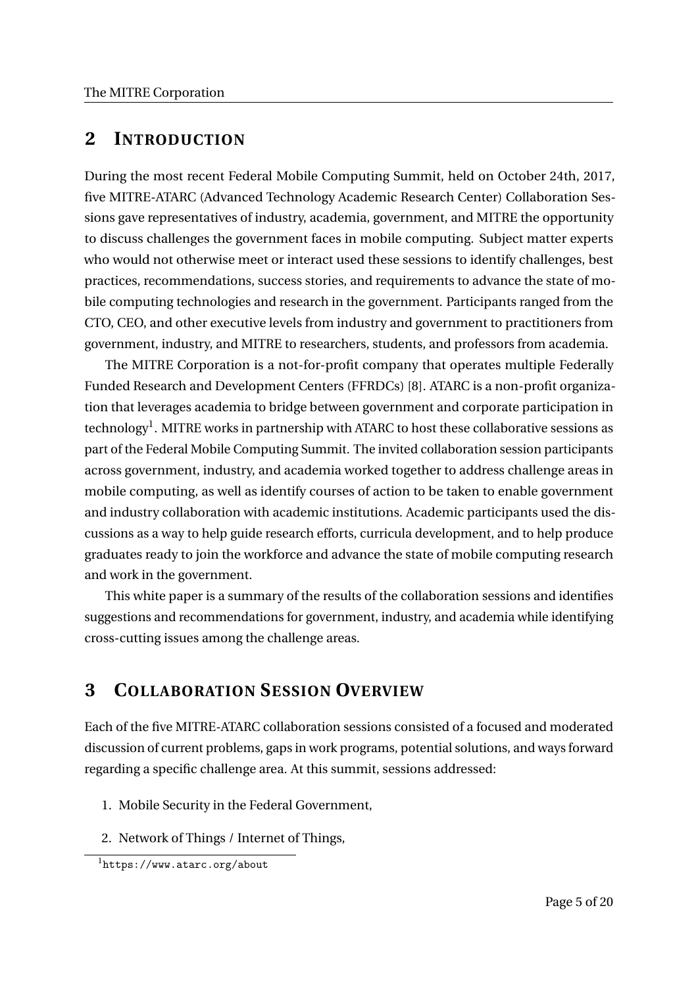## **2 INTRODUCTION**

During the most recent Federal Mobile Computing Summit, held on October 24th, 2017, five MITRE-ATARC (Advanced Technology Academic Research Center) Collaboration Sessions gave representatives of industry, academia, government, and MITRE the opportunity to discuss challenges the government faces in mobile computing. Subject matter experts who would not otherwise meet or interact used these sessions to identify challenges, best practices, recommendations, success stories, and requirements to advance the state of mobile computing technologies and research in the government. Participants ranged from the CTO, CEO, and other executive levels from industry and government to practitioners from government, industry, and MITRE to researchers, students, and professors from academia.

The MITRE Corporation is a not-for-profit company that operates multiple Federally Funded Research and Development Centers (FFRDCs) [8]. ATARC is a non-profit organization that leverages academia to bridge between government and corporate participation in technology<sup>1</sup>. MITRE works in partnership with ATARC to host these collaborative sessions as part of the Federal Mobile Computing Summit. The invited collaboration session participants across government, industry, and academia worked together to address challenge areas in mobile computing, as well as identify courses of action to be taken to enable government and industry collaboration with academic institutions. Academic participants used the discussions as a way to help guide research efforts, curricula development, and to help produce graduates ready to join the workforce and advance the state of mobile computing research and work in the government.

This white paper is a summary of the results of the collaboration sessions and identifies suggestions and recommendations for government, industry, and academia while identifying cross-cutting issues among the challenge areas.

## **3 COLLABORATION SESSION OVERVIEW**

Each of the five MITRE-ATARC collaboration sessions consisted of a focused and moderated discussion of current problems, gaps in work programs, potential solutions, and ways forward regarding a specific challenge area. At this summit, sessions addressed:

- 1. Mobile Security in the Federal Government,
- 2. Network of Things / Internet of Things,

<sup>1</sup>https://www.atarc.org/about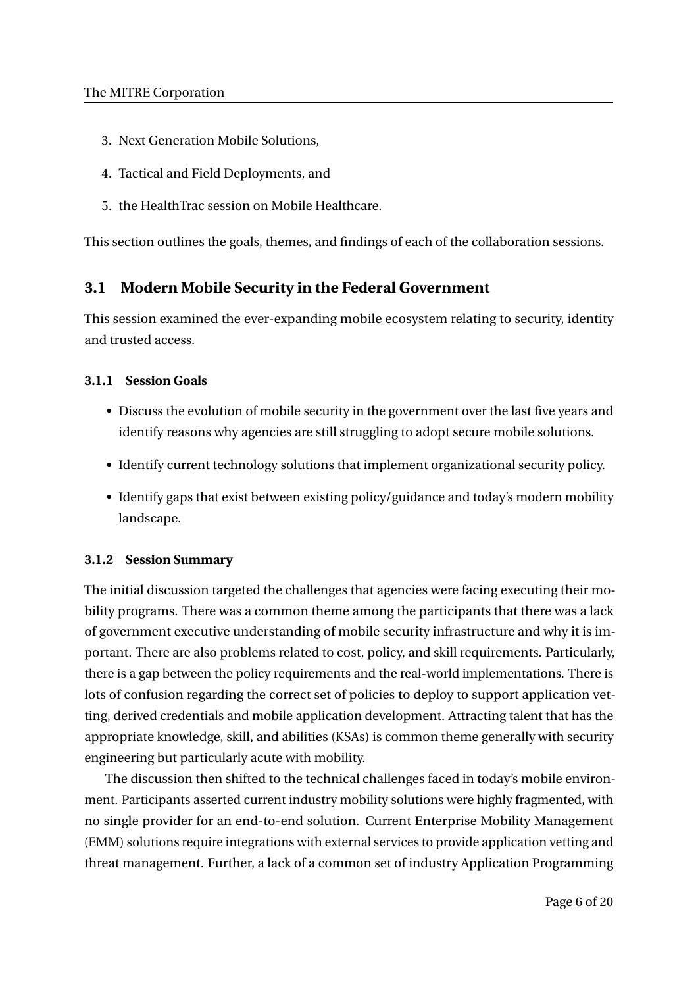- 3. Next Generation Mobile Solutions,
- 4. Tactical and Field Deployments, and
- 5. the HealthTrac session on Mobile Healthcare.

This section outlines the goals, themes, and findings of each of the collaboration sessions.

## **3.1 Modern Mobile Security in the Federal Government**

This session examined the ever-expanding mobile ecosystem relating to security, identity and trusted access.

## **3.1.1 Session Goals**

- Discuss the evolution of mobile security in the government over the last five years and identify reasons why agencies are still struggling to adopt secure mobile solutions.
- Identify current technology solutions that implement organizational security policy.
- Identify gaps that exist between existing policy/guidance and today's modern mobility landscape.

#### **3.1.2 Session Summary**

The initial discussion targeted the challenges that agencies were facing executing their mobility programs. There was a common theme among the participants that there was a lack of government executive understanding of mobile security infrastructure and why it is important. There are also problems related to cost, policy, and skill requirements. Particularly, there is a gap between the policy requirements and the real-world implementations. There is lots of confusion regarding the correct set of policies to deploy to support application vetting, derived credentials and mobile application development. Attracting talent that has the appropriate knowledge, skill, and abilities (KSAs) is common theme generally with security engineering but particularly acute with mobility.

The discussion then shifted to the technical challenges faced in today's mobile environment. Participants asserted current industry mobility solutions were highly fragmented, with no single provider for an end-to-end solution. Current Enterprise Mobility Management (EMM) solutions require integrations with external services to provide application vetting and threat management. Further, a lack of a common set of industry Application Programming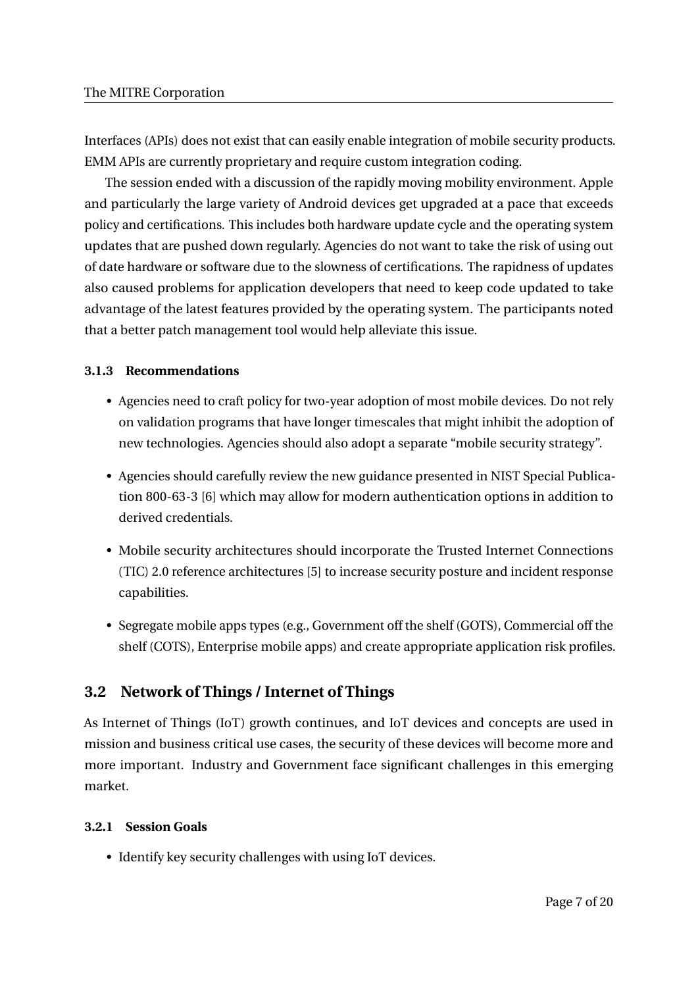Interfaces (APIs) does not exist that can easily enable integration of mobile security products. EMM APIs are currently proprietary and require custom integration coding.

The session ended with a discussion of the rapidly moving mobility environment. Apple and particularly the large variety of Android devices get upgraded at a pace that exceeds policy and certifications. This includes both hardware update cycle and the operating system updates that are pushed down regularly. Agencies do not want to take the risk of using out of date hardware or software due to the slowness of certifications. The rapidness of updates also caused problems for application developers that need to keep code updated to take advantage of the latest features provided by the operating system. The participants noted that a better patch management tool would help alleviate this issue.

#### **3.1.3 Recommendations**

- Agencies need to craft policy for two-year adoption of most mobile devices. Do not rely on validation programs that have longer timescales that might inhibit the adoption of new technologies. Agencies should also adopt a separate "mobile security strategy".
- Agencies should carefully review the new guidance presented in NIST Special Publication 800-63-3 [6] which may allow for modern authentication options in addition to derived credentials.
- Mobile security architectures should incorporate the Trusted Internet Connections (TIC) 2.0 reference architectures [5] to increase security posture and incident response capabilities.
- Segregate mobile apps types (e.g., Government off the shelf (GOTS), Commercial off the shelf (COTS), Enterprise mobile apps) and create appropriate application risk profiles.

## **3.2 Network of Things / Internet of Things**

As Internet of Things (IoT) growth continues, and IoT devices and concepts are used in mission and business critical use cases, the security of these devices will become more and more important. Industry and Government face significant challenges in this emerging market.

#### **3.2.1 Session Goals**

• Identify key security challenges with using IoT devices.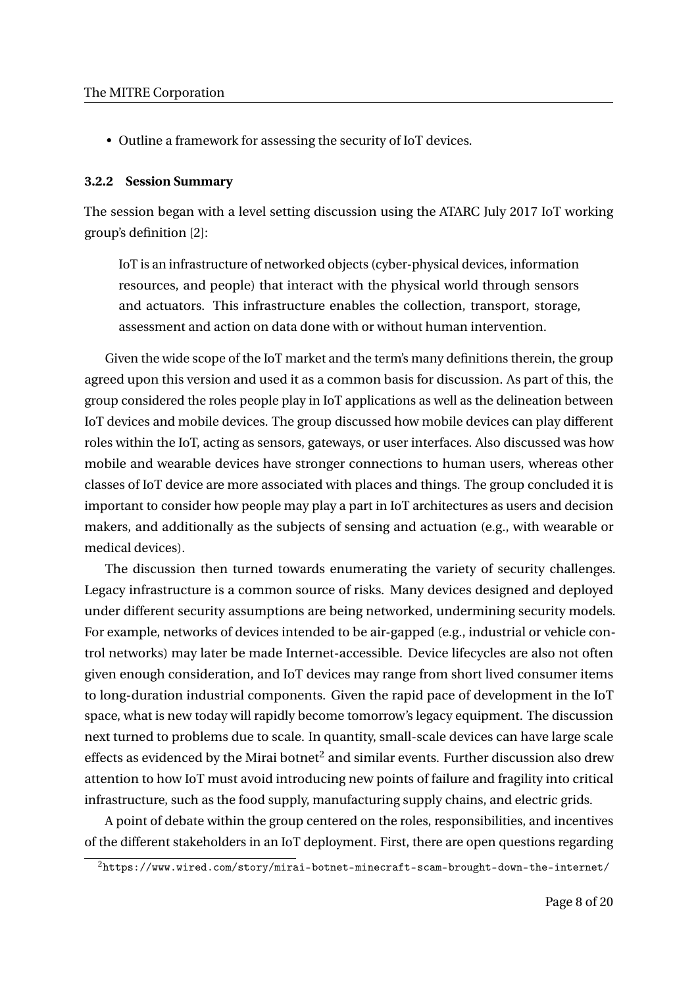• Outline a framework for assessing the security of IoT devices.

#### **3.2.2 Session Summary**

The session began with a level setting discussion using the ATARC July 2017 IoT working group's definition [2]:

IoT is an infrastructure of networked objects (cyber-physical devices, information resources, and people) that interact with the physical world through sensors and actuators. This infrastructure enables the collection, transport, storage, assessment and action on data done with or without human intervention.

Given the wide scope of the IoT market and the term's many definitions therein, the group agreed upon this version and used it as a common basis for discussion. As part of this, the group considered the roles people play in IoT applications as well as the delineation between IoT devices and mobile devices. The group discussed how mobile devices can play different roles within the IoT, acting as sensors, gateways, or user interfaces. Also discussed was how mobile and wearable devices have stronger connections to human users, whereas other classes of IoT device are more associated with places and things. The group concluded it is important to consider how people may play a part in IoT architectures as users and decision makers, and additionally as the subjects of sensing and actuation (e.g., with wearable or medical devices).

The discussion then turned towards enumerating the variety of security challenges. Legacy infrastructure is a common source of risks. Many devices designed and deployed under different security assumptions are being networked, undermining security models. For example, networks of devices intended to be air-gapped (e.g., industrial or vehicle control networks) may later be made Internet-accessible. Device lifecycles are also not often given enough consideration, and IoT devices may range from short lived consumer items to long-duration industrial components. Given the rapid pace of development in the IoT space, what is new today will rapidly become tomorrow's legacy equipment. The discussion next turned to problems due to scale. In quantity, small-scale devices can have large scale effects as evidenced by the Mirai botnet $2$  and similar events. Further discussion also drew attention to how IoT must avoid introducing new points of failure and fragility into critical infrastructure, such as the food supply, manufacturing supply chains, and electric grids.

A point of debate within the group centered on the roles, responsibilities, and incentives of the different stakeholders in an IoT deployment. First, there are open questions regarding

 $2$ https://www.wired.com/story/mirai-botnet-minecraft-scam-brought-down-the-internet/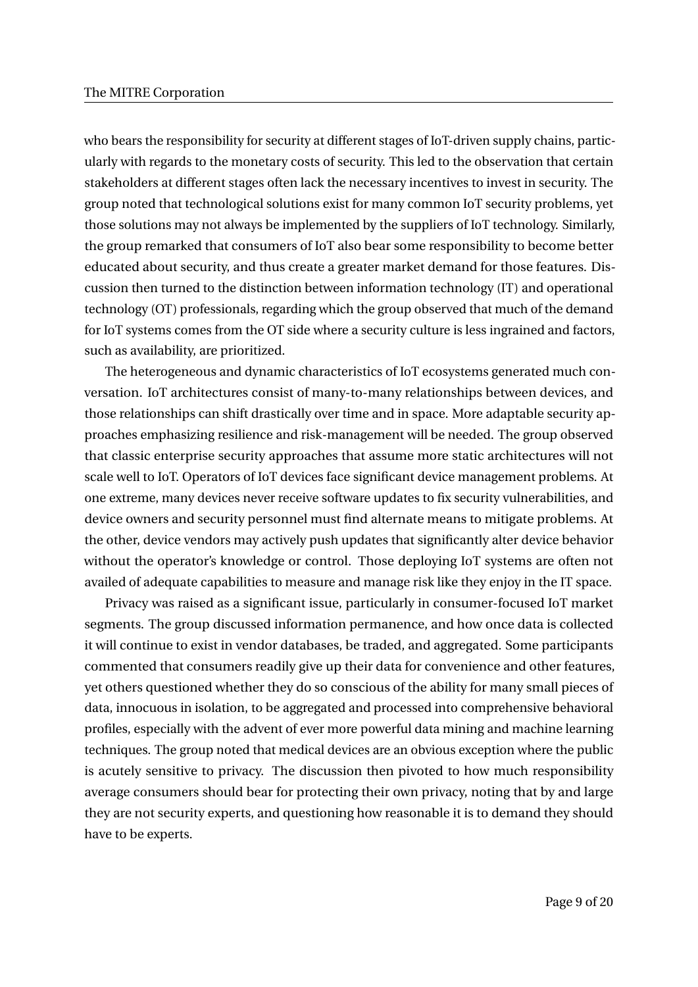who bears the responsibility for security at different stages of IoT-driven supply chains, particularly with regards to the monetary costs of security. This led to the observation that certain stakeholders at different stages often lack the necessary incentives to invest in security. The group noted that technological solutions exist for many common IoT security problems, yet those solutions may not always be implemented by the suppliers of IoT technology. Similarly, the group remarked that consumers of IoT also bear some responsibility to become better educated about security, and thus create a greater market demand for those features. Discussion then turned to the distinction between information technology (IT) and operational technology (OT) professionals, regarding which the group observed that much of the demand for IoT systems comes from the OT side where a security culture is less ingrained and factors, such as availability, are prioritized.

The heterogeneous and dynamic characteristics of IoT ecosystems generated much conversation. IoT architectures consist of many-to-many relationships between devices, and those relationships can shift drastically over time and in space. More adaptable security approaches emphasizing resilience and risk-management will be needed. The group observed that classic enterprise security approaches that assume more static architectures will not scale well to IoT. Operators of IoT devices face significant device management problems. At one extreme, many devices never receive software updates to fix security vulnerabilities, and device owners and security personnel must find alternate means to mitigate problems. At the other, device vendors may actively push updates that significantly alter device behavior without the operator's knowledge or control. Those deploying IoT systems are often not availed of adequate capabilities to measure and manage risk like they enjoy in the IT space.

Privacy was raised as a significant issue, particularly in consumer-focused IoT market segments. The group discussed information permanence, and how once data is collected it will continue to exist in vendor databases, be traded, and aggregated. Some participants commented that consumers readily give up their data for convenience and other features, yet others questioned whether they do so conscious of the ability for many small pieces of data, innocuous in isolation, to be aggregated and processed into comprehensive behavioral profiles, especially with the advent of ever more powerful data mining and machine learning techniques. The group noted that medical devices are an obvious exception where the public is acutely sensitive to privacy. The discussion then pivoted to how much responsibility average consumers should bear for protecting their own privacy, noting that by and large they are not security experts, and questioning how reasonable it is to demand they should have to be experts.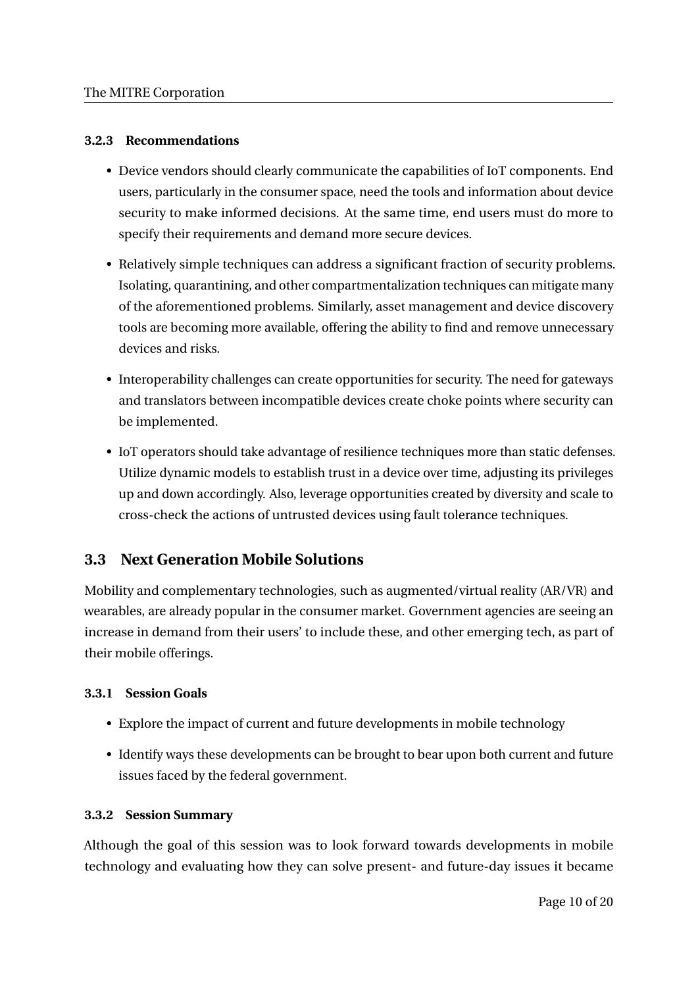## **3.2.3 Recommendations**

- Device vendors should clearly communicate the capabilities of IoT components. End users, particularly in the consumer space, need the tools and information about device security to make informed decisions. At the same time, end users must do more to specify their requirements and demand more secure devices.
- Relatively simple techniques can address a significant fraction of security problems. Isolating, quarantining, and other compartmentalization techniques can mitigate many of the aforementioned problems. Similarly, asset management and device discovery tools are becoming more available, offering the ability to find and remove unnecessary devices and risks.
- Interoperability challenges can create opportunities for security. The need for gateways and translators between incompatible devices create choke points where security can be implemented.
- IoT operators should take advantage of resilience techniques more than static defenses. Utilize dynamic models to establish trust in a device over time, adjusting its privileges up and down accordingly. Also, leverage opportunities created by diversity and scale to cross-check the actions of untrusted devices using fault tolerance techniques.

## **3.3 Next Generation Mobile Solutions**

Mobility and complementary technologies, such as augmented/virtual reality (AR/VR) and wearables, are already popular in the consumer market. Government agencies are seeing an increase in demand from their users' to include these, and other emerging tech, as part of their mobile offerings.

## **3.3.1 Session Goals**

- Explore the impact of current and future developments in mobile technology
- Identify ways these developments can be brought to bear upon both current and future issues faced by the federal government.

#### **3.3.2 Session Summary**

Although the goal of this session was to look forward towards developments in mobile technology and evaluating how they can solve present- and future-day issues it became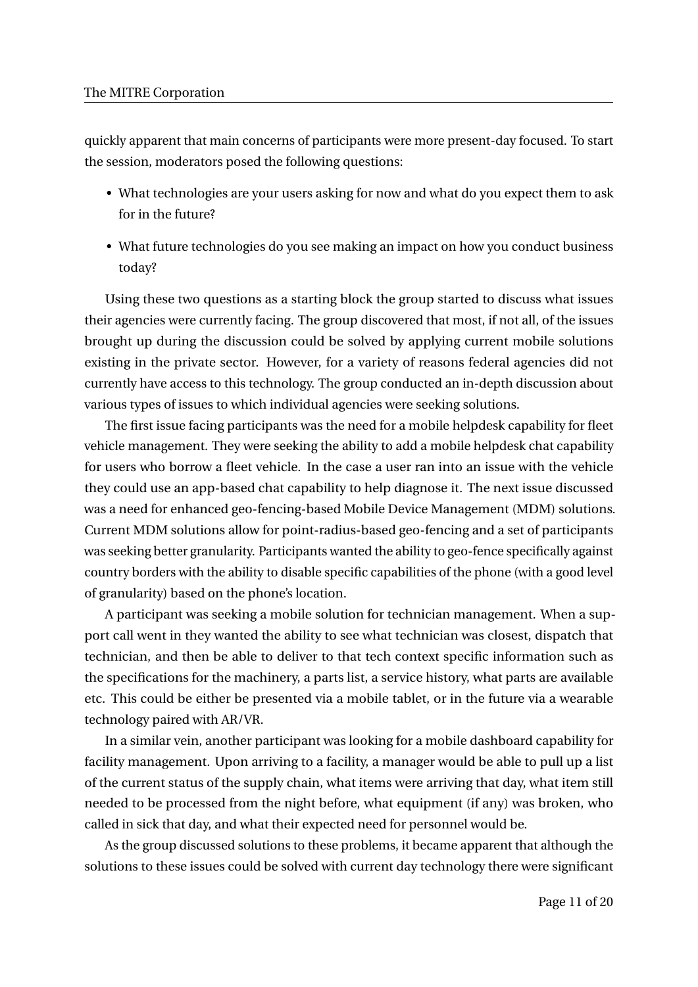quickly apparent that main concerns of participants were more present-day focused. To start the session, moderators posed the following questions:

- What technologies are your users asking for now and what do you expect them to ask for in the future?
- What future technologies do you see making an impact on how you conduct business today?

Using these two questions as a starting block the group started to discuss what issues their agencies were currently facing. The group discovered that most, if not all, of the issues brought up during the discussion could be solved by applying current mobile solutions existing in the private sector. However, for a variety of reasons federal agencies did not currently have access to this technology. The group conducted an in-depth discussion about various types of issues to which individual agencies were seeking solutions.

The first issue facing participants was the need for a mobile helpdesk capability for fleet vehicle management. They were seeking the ability to add a mobile helpdesk chat capability for users who borrow a fleet vehicle. In the case a user ran into an issue with the vehicle they could use an app-based chat capability to help diagnose it. The next issue discussed was a need for enhanced geo-fencing-based Mobile Device Management (MDM) solutions. Current MDM solutions allow for point-radius-based geo-fencing and a set of participants was seeking better granularity. Participants wanted the ability to geo-fence specifically against country borders with the ability to disable specific capabilities of the phone (with a good level of granularity) based on the phone's location.

A participant was seeking a mobile solution for technician management. When a support call went in they wanted the ability to see what technician was closest, dispatch that technician, and then be able to deliver to that tech context specific information such as the specifications for the machinery, a parts list, a service history, what parts are available etc. This could be either be presented via a mobile tablet, or in the future via a wearable technology paired with AR/VR.

In a similar vein, another participant was looking for a mobile dashboard capability for facility management. Upon arriving to a facility, a manager would be able to pull up a list of the current status of the supply chain, what items were arriving that day, what item still needed to be processed from the night before, what equipment (if any) was broken, who called in sick that day, and what their expected need for personnel would be.

As the group discussed solutions to these problems, it became apparent that although the solutions to these issues could be solved with current day technology there were significant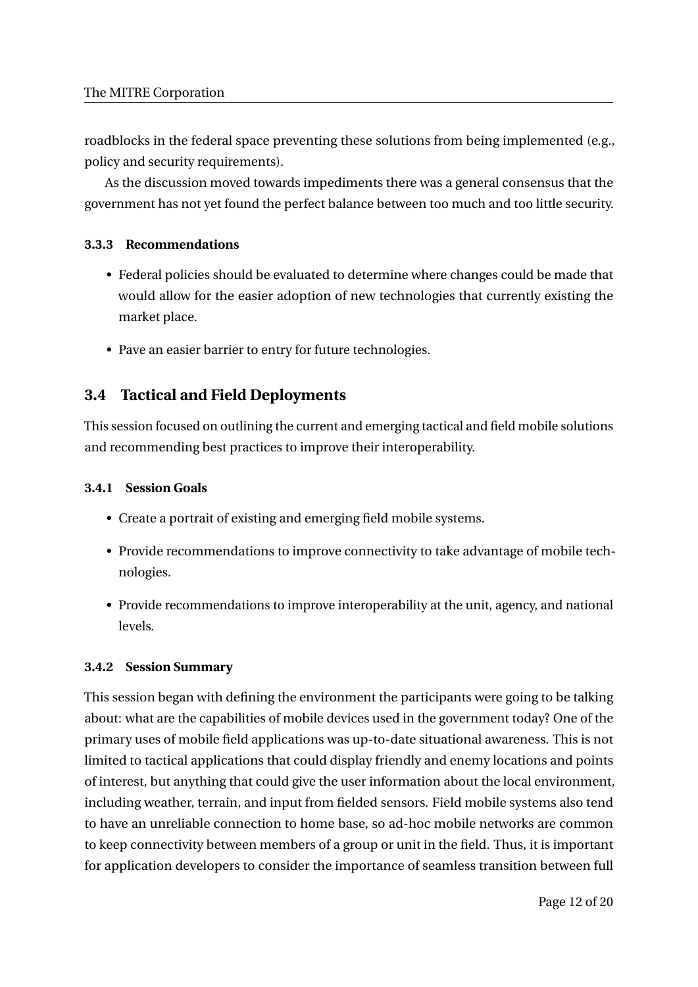roadblocks in the federal space preventing these solutions from being implemented (e.g., policy and security requirements).

As the discussion moved towards impediments there was a general consensus that the government has not yet found the perfect balance between too much and too little security.

## **3.3.3 Recommendations**

- Federal policies should be evaluated to determine where changes could be made that would allow for the easier adoption of new technologies that currently existing the market place.
- Pave an easier barrier to entry for future technologies.

## **3.4 Tactical and Field Deployments**

This session focused on outlining the current and emerging tactical and field mobile solutions and recommending best practices to improve their interoperability.

## **3.4.1 Session Goals**

- Create a portrait of existing and emerging field mobile systems.
- Provide recommendations to improve connectivity to take advantage of mobile technologies.
- Provide recommendations to improve interoperability at the unit, agency, and national levels.

## **3.4.2 Session Summary**

This session began with defining the environment the participants were going to be talking about: what are the capabilities of mobile devices used in the government today? One of the primary uses of mobile field applications was up-to-date situational awareness. This is not limited to tactical applications that could display friendly and enemy locations and points of interest, but anything that could give the user information about the local environment, including weather, terrain, and input from fielded sensors. Field mobile systems also tend to have an unreliable connection to home base, so ad-hoc mobile networks are common to keep connectivity between members of a group or unit in the field. Thus, it is important for application developers to consider the importance of seamless transition between full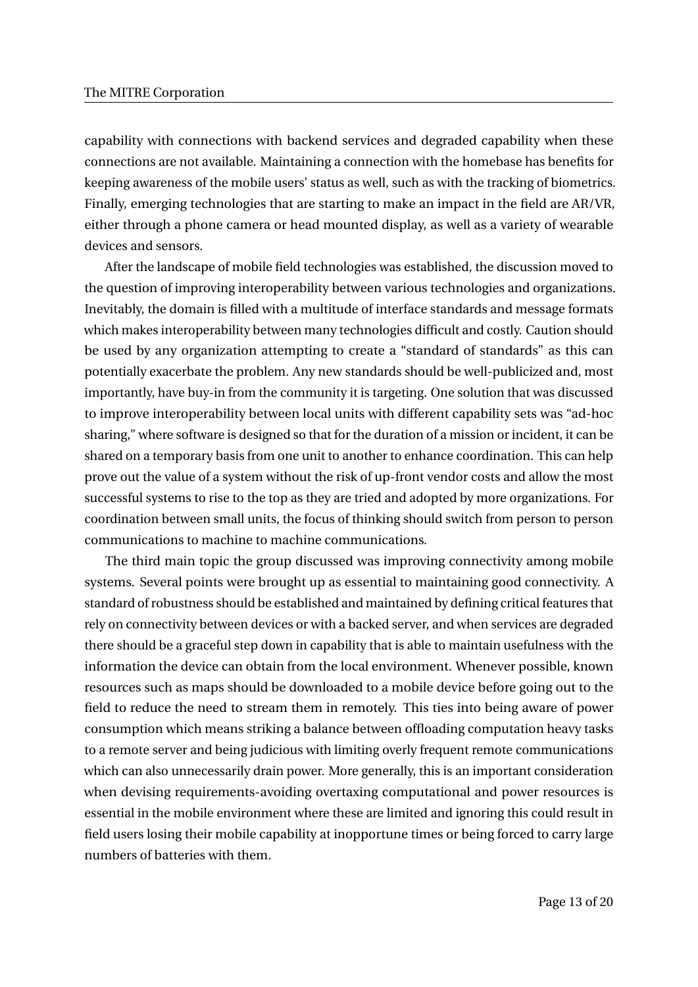capability with connections with backend services and degraded capability when these connections are not available. Maintaining a connection with the homebase has benefits for keeping awareness of the mobile users' status as well, such as with the tracking of biometrics. Finally, emerging technologies that are starting to make an impact in the field are AR/VR, either through a phone camera or head mounted display, as well as a variety of wearable devices and sensors.

After the landscape of mobile field technologies was established, the discussion moved to the question of improving interoperability between various technologies and organizations. Inevitably, the domain is filled with a multitude of interface standards and message formats which makes interoperability between many technologies difficult and costly. Caution should be used by any organization attempting to create a "standard of standards" as this can potentially exacerbate the problem. Any new standards should be well-publicized and, most importantly, have buy-in from the community it is targeting. One solution that was discussed to improve interoperability between local units with different capability sets was "ad-hoc sharing," where software is designed so that for the duration of a mission or incident, it can be shared on a temporary basis from one unit to another to enhance coordination. This can help prove out the value of a system without the risk of up-front vendor costs and allow the most successful systems to rise to the top as they are tried and adopted by more organizations. For coordination between small units, the focus of thinking should switch from person to person communications to machine to machine communications.

The third main topic the group discussed was improving connectivity among mobile systems. Several points were brought up as essential to maintaining good connectivity. A standard of robustness should be established and maintained by defining critical features that rely on connectivity between devices or with a backed server, and when services are degraded there should be a graceful step down in capability that is able to maintain usefulness with the information the device can obtain from the local environment. Whenever possible, known resources such as maps should be downloaded to a mobile device before going out to the field to reduce the need to stream them in remotely. This ties into being aware of power consumption which means striking a balance between offloading computation heavy tasks to a remote server and being judicious with limiting overly frequent remote communications which can also unnecessarily drain power. More generally, this is an important consideration when devising requirements-avoiding overtaxing computational and power resources is essential in the mobile environment where these are limited and ignoring this could result in field users losing their mobile capability at inopportune times or being forced to carry large numbers of batteries with them.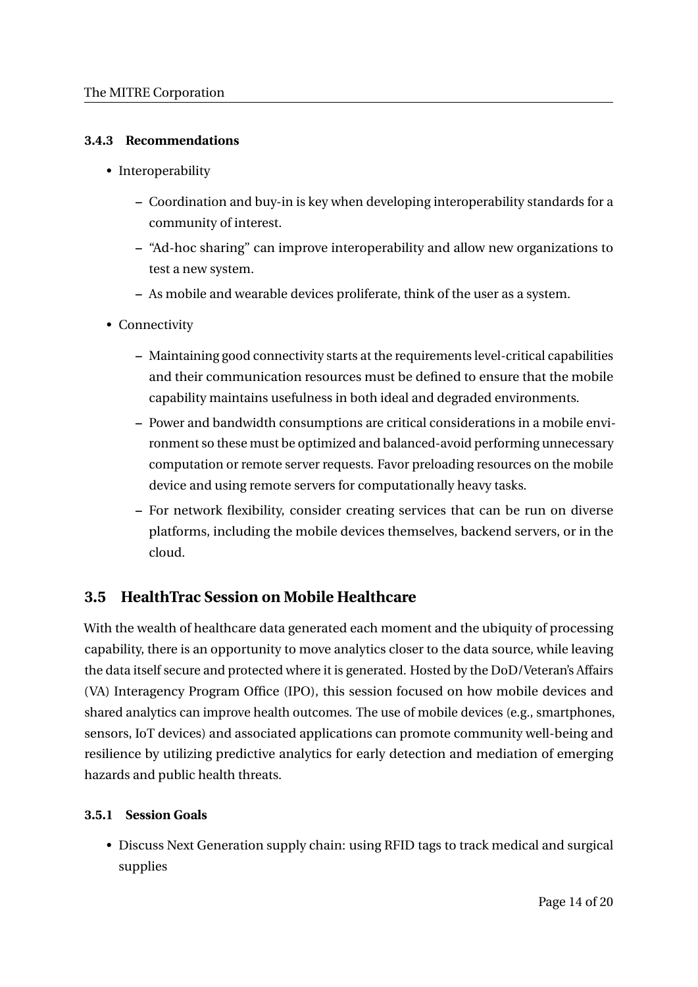## **3.4.3 Recommendations**

- Interoperability
	- **–** Coordination and buy-in is key when developing interoperability standards for a community of interest.
	- **–** "Ad-hoc sharing" can improve interoperability and allow new organizations to test a new system.
	- **–** As mobile and wearable devices proliferate, think of the user as a system.
- Connectivity
	- **–** Maintaining good connectivity starts at the requirements level-critical capabilities and their communication resources must be defined to ensure that the mobile capability maintains usefulness in both ideal and degraded environments.
	- **–** Power and bandwidth consumptions are critical considerations in a mobile environment so these must be optimized and balanced-avoid performing unnecessary computation or remote server requests. Favor preloading resources on the mobile device and using remote servers for computationally heavy tasks.
	- **–** For network flexibility, consider creating services that can be run on diverse platforms, including the mobile devices themselves, backend servers, or in the cloud.

## **3.5 HealthTrac Session on Mobile Healthcare**

With the wealth of healthcare data generated each moment and the ubiquity of processing capability, there is an opportunity to move analytics closer to the data source, while leaving the data itself secure and protected where it is generated. Hosted by the DoD/Veteran's Affairs (VA) Interagency Program Office (IPO), this session focused on how mobile devices and shared analytics can improve health outcomes. The use of mobile devices (e.g., smartphones, sensors, IoT devices) and associated applications can promote community well-being and resilience by utilizing predictive analytics for early detection and mediation of emerging hazards and public health threats.

## **3.5.1 Session Goals**

• Discuss Next Generation supply chain: using RFID tags to track medical and surgical supplies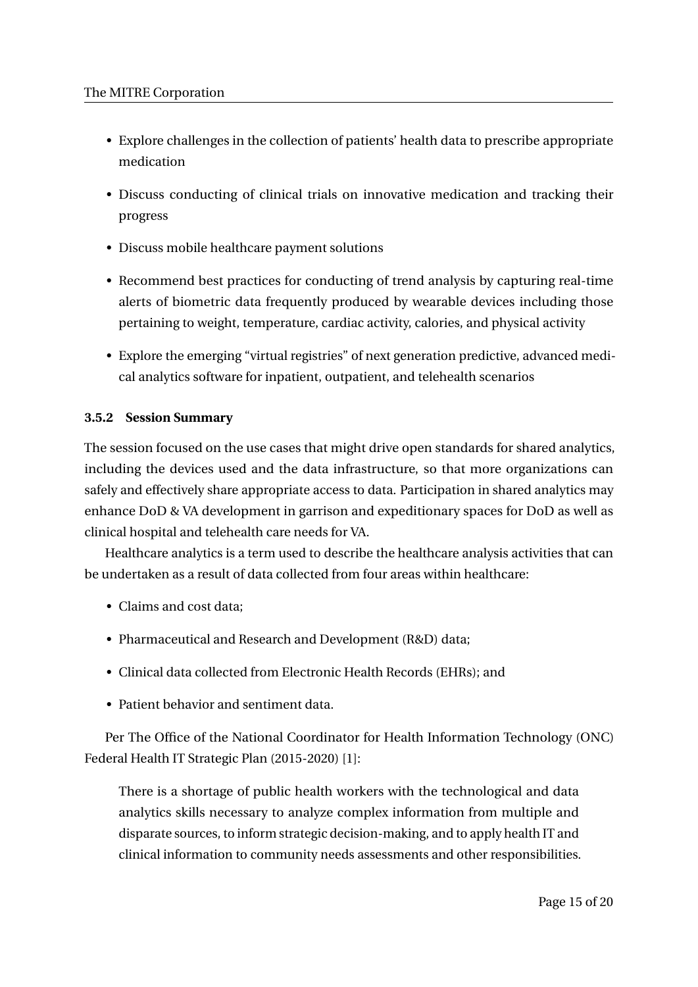- Explore challenges in the collection of patients' health data to prescribe appropriate medication
- Discuss conducting of clinical trials on innovative medication and tracking their progress
- Discuss mobile healthcare payment solutions
- Recommend best practices for conducting of trend analysis by capturing real-time alerts of biometric data frequently produced by wearable devices including those pertaining to weight, temperature, cardiac activity, calories, and physical activity
- Explore the emerging "virtual registries" of next generation predictive, advanced medical analytics software for inpatient, outpatient, and telehealth scenarios

## **3.5.2 Session Summary**

The session focused on the use cases that might drive open standards for shared analytics, including the devices used and the data infrastructure, so that more organizations can safely and effectively share appropriate access to data. Participation in shared analytics may enhance DoD & VA development in garrison and expeditionary spaces for DoD as well as clinical hospital and telehealth care needs for VA.

Healthcare analytics is a term used to describe the healthcare analysis activities that can be undertaken as a result of data collected from four areas within healthcare:

- Claims and cost data;
- Pharmaceutical and Research and Development (R&D) data;
- Clinical data collected from Electronic Health Records (EHRs); and
- Patient behavior and sentiment data.

Per The Office of the National Coordinator for Health Information Technology (ONC) Federal Health IT Strategic Plan (2015-2020) [1]:

There is a shortage of public health workers with the technological and data analytics skills necessary to analyze complex information from multiple and disparate sources, to inform strategic decision-making, and to apply health IT and clinical information to community needs assessments and other responsibilities.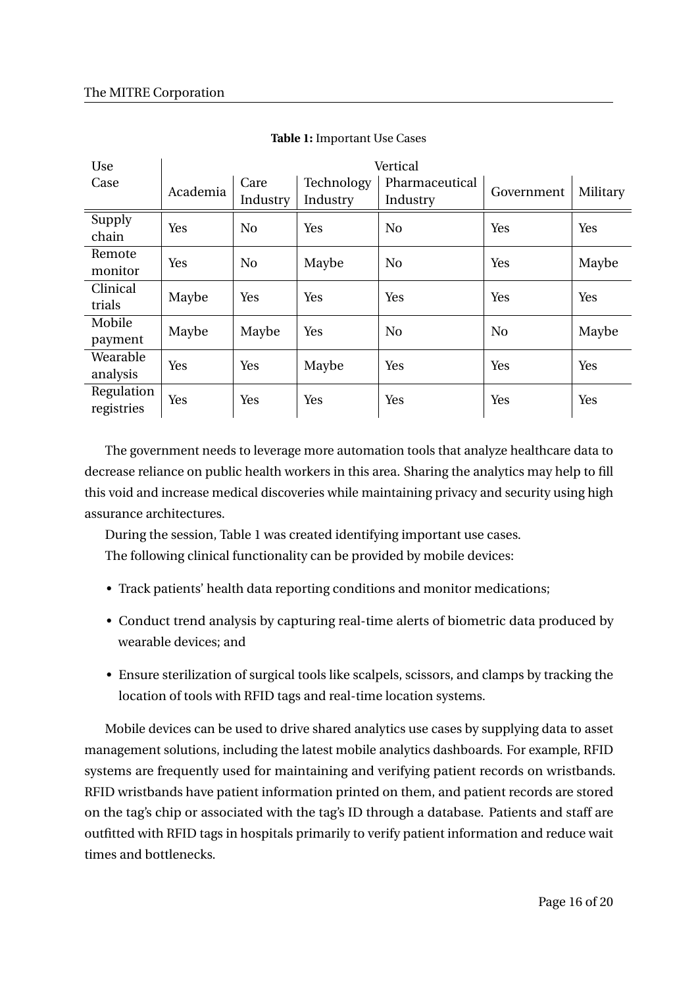| Use        | Vertical |                |            |                |                |          |  |  |
|------------|----------|----------------|------------|----------------|----------------|----------|--|--|
| Case       | Academia | Care           | Technology | Pharmaceutical | Government     | Military |  |  |
|            |          | Industry       | Industry   | Industry       |                |          |  |  |
| Supply     | Yes      | N <sub>0</sub> | Yes        | N <sub>0</sub> | Yes            | Yes      |  |  |
| chain      |          |                |            |                |                |          |  |  |
| Remote     | Yes      | N <sub>o</sub> | Maybe      | N <sub>0</sub> | Yes            | Maybe    |  |  |
| monitor    |          |                |            |                |                |          |  |  |
| Clinical   | Maybe    | Yes            | Yes        | Yes            | Yes            | Yes      |  |  |
| trials     |          |                |            |                |                |          |  |  |
| Mobile     | Maybe    | Maybe          | Yes        | N <sub>o</sub> | N <sub>o</sub> | Maybe    |  |  |
| payment    |          |                |            |                |                |          |  |  |
| Wearable   | Yes      | Yes            | Maybe      | Yes            | Yes            | Yes      |  |  |
| analysis   |          |                |            |                |                |          |  |  |
| Regulation | Yes      | Yes            | Yes        | Yes            | Yes            | Yes      |  |  |
| registries |          |                |            |                |                |          |  |  |

#### **Table 1:** Important Use Cases

The government needs to leverage more automation tools that analyze healthcare data to decrease reliance on public health workers in this area. Sharing the analytics may help to fill this void and increase medical discoveries while maintaining privacy and security using high assurance architectures.

During the session, Table 1 was created identifying important use cases. The following clinical functionality can be provided by mobile devices:

- Track patients' health data reporting conditions and monitor medications;
- Conduct trend analysis by capturing real-time alerts of biometric data produced by wearable devices; and
- Ensure sterilization of surgical tools like scalpels, scissors, and clamps by tracking the location of tools with RFID tags and real-time location systems.

Mobile devices can be used to drive shared analytics use cases by supplying data to asset management solutions, including the latest mobile analytics dashboards. For example, RFID systems are frequently used for maintaining and verifying patient records on wristbands. RFID wristbands have patient information printed on them, and patient records are stored on the tag's chip or associated with the tag's ID through a database. Patients and staff are outfitted with RFID tags in hospitals primarily to verify patient information and reduce wait times and bottlenecks.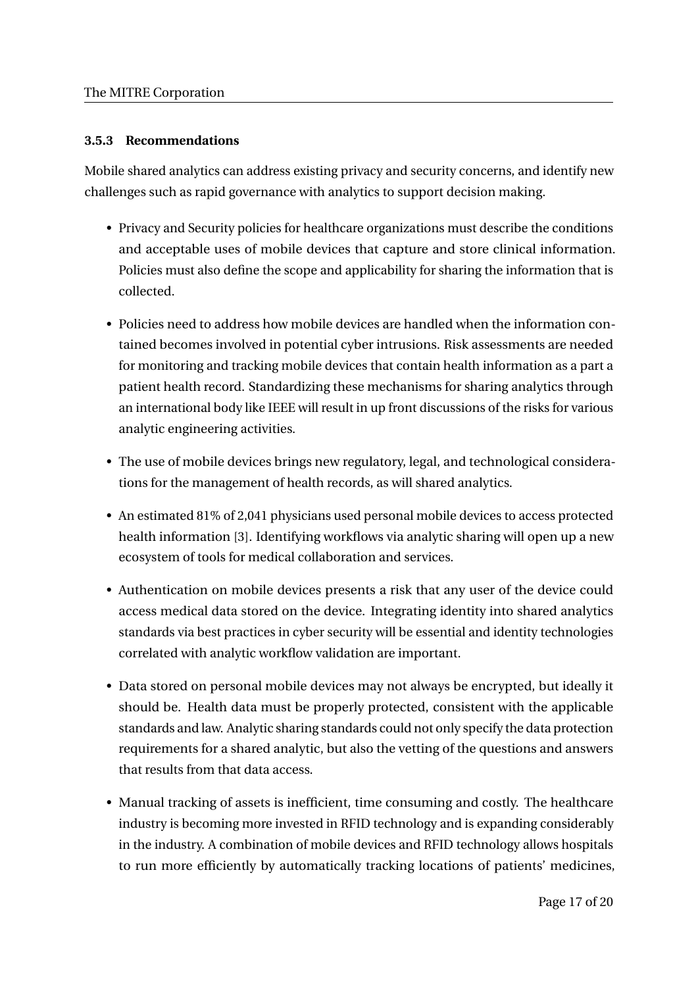## **3.5.3 Recommendations**

Mobile shared analytics can address existing privacy and security concerns, and identify new challenges such as rapid governance with analytics to support decision making.

- Privacy and Security policies for healthcare organizations must describe the conditions and acceptable uses of mobile devices that capture and store clinical information. Policies must also define the scope and applicability for sharing the information that is collected.
- Policies need to address how mobile devices are handled when the information contained becomes involved in potential cyber intrusions. Risk assessments are needed for monitoring and tracking mobile devices that contain health information as a part a patient health record. Standardizing these mechanisms for sharing analytics through an international body like IEEE will result in up front discussions of the risks for various analytic engineering activities.
- The use of mobile devices brings new regulatory, legal, and technological considerations for the management of health records, as will shared analytics.
- An estimated 81% of 2,041 physicians used personal mobile devices to access protected health information [3]. Identifying workflows via analytic sharing will open up a new ecosystem of tools for medical collaboration and services.
- Authentication on mobile devices presents a risk that any user of the device could access medical data stored on the device. Integrating identity into shared analytics standards via best practices in cyber security will be essential and identity technologies correlated with analytic workflow validation are important.
- Data stored on personal mobile devices may not always be encrypted, but ideally it should be. Health data must be properly protected, consistent with the applicable standards and law. Analytic sharing standards could not only specify the data protection requirements for a shared analytic, but also the vetting of the questions and answers that results from that data access.
- Manual tracking of assets is inefficient, time consuming and costly. The healthcare industry is becoming more invested in RFID technology and is expanding considerably in the industry. A combination of mobile devices and RFID technology allows hospitals to run more efficiently by automatically tracking locations of patients' medicines,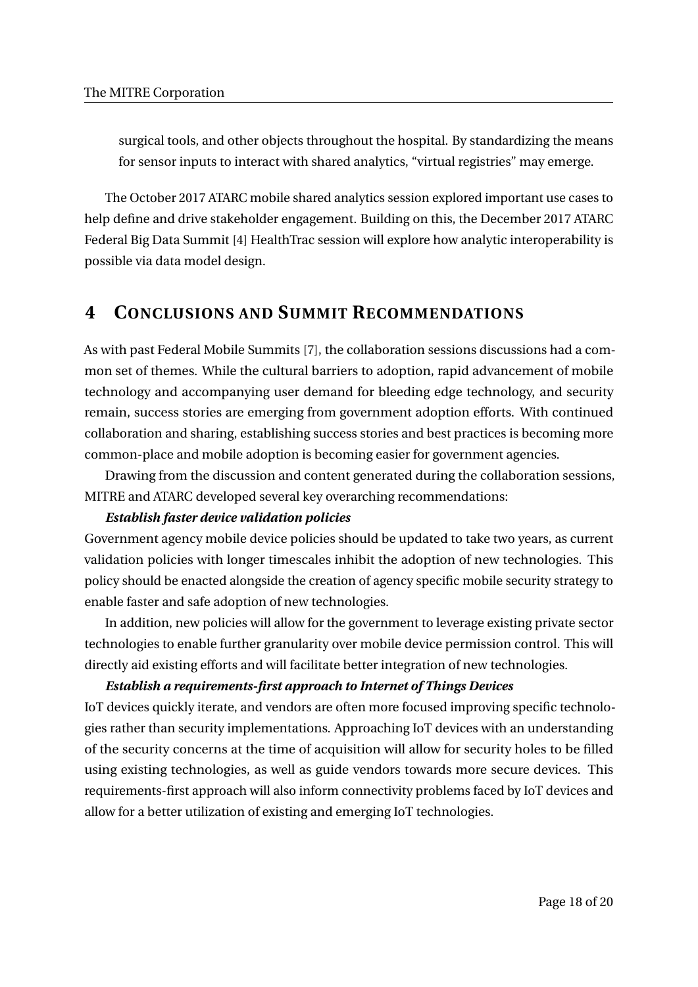surgical tools, and other objects throughout the hospital. By standardizing the means for sensor inputs to interact with shared analytics, "virtual registries" may emerge.

The October 2017 ATARC mobile shared analytics session explored important use cases to help define and drive stakeholder engagement. Building on this, the December 2017 ATARC Federal Big Data Summit [4] HealthTrac session will explore how analytic interoperability is possible via data model design.

## **4 CONCLUSIONS AND SUMMIT RECOMMENDATIONS**

As with past Federal Mobile Summits [7], the collaboration sessions discussions had a common set of themes. While the cultural barriers to adoption, rapid advancement of mobile technology and accompanying user demand for bleeding edge technology, and security remain, success stories are emerging from government adoption efforts. With continued collaboration and sharing, establishing success stories and best practices is becoming more common-place and mobile adoption is becoming easier for government agencies.

Drawing from the discussion and content generated during the collaboration sessions, MITRE and ATARC developed several key overarching recommendations:

#### *Establish faster device validation policies*

Government agency mobile device policies should be updated to take two years, as current validation policies with longer timescales inhibit the adoption of new technologies. This policy should be enacted alongside the creation of agency specific mobile security strategy to enable faster and safe adoption of new technologies.

In addition, new policies will allow for the government to leverage existing private sector technologies to enable further granularity over mobile device permission control. This will directly aid existing efforts and will facilitate better integration of new technologies.

#### *Establish a requirements-first approach to Internet of Things Devices*

IoT devices quickly iterate, and vendors are often more focused improving specific technologies rather than security implementations. Approaching IoT devices with an understanding of the security concerns at the time of acquisition will allow for security holes to be filled using existing technologies, as well as guide vendors towards more secure devices. This requirements-first approach will also inform connectivity problems faced by IoT devices and allow for a better utilization of existing and emerging IoT technologies.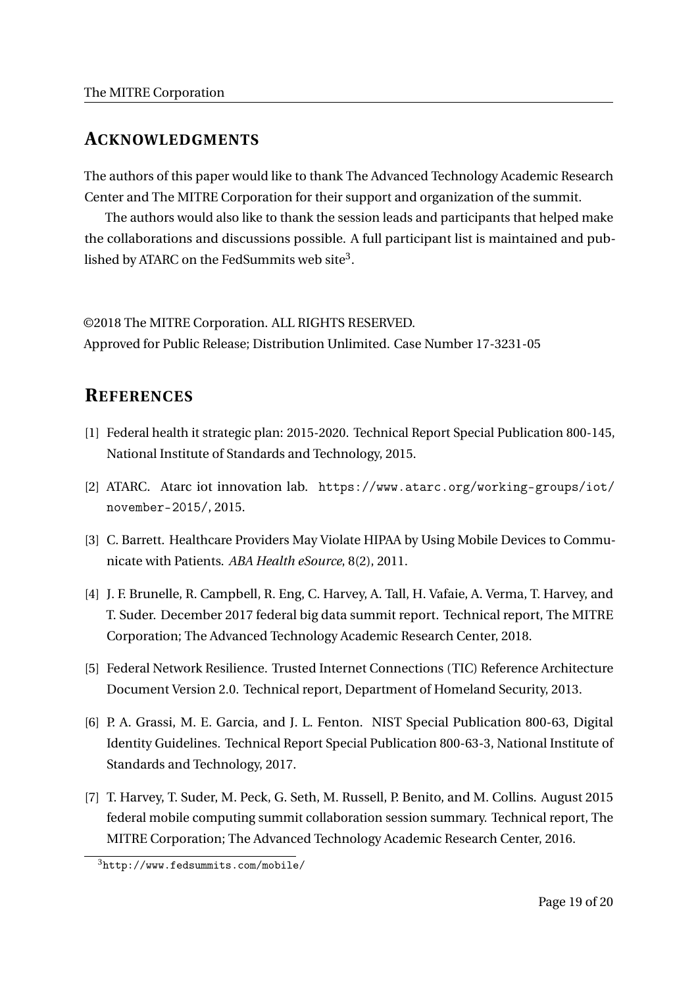## **ACKNOWLEDGMENTS**

The authors of this paper would like to thank The Advanced Technology Academic Research Center and The MITRE Corporation for their support and organization of the summit.

The authors would also like to thank the session leads and participants that helped make the collaborations and discussions possible. A full participant list is maintained and published by ATARC on the FedSummits web site $^3.$ 

©2018 The MITRE Corporation. ALL RIGHTS RESERVED. Approved for Public Release; Distribution Unlimited. Case Number 17-3231-05

## **REFERENCES**

- [1] Federal health it strategic plan: 2015-2020. Technical Report Special Publication 800-145, National Institute of Standards and Technology, 2015.
- [2] ATARC. Atarc iot innovation lab. https://www.atarc.org/working-groups/iot/ november-2015/, 2015.
- [3] C. Barrett. Healthcare Providers May Violate HIPAA by Using Mobile Devices to Communicate with Patients. *ABA Health eSource*, 8(2), 2011.
- [4] J. F. Brunelle, R. Campbell, R. Eng, C. Harvey, A. Tall, H. Vafaie, A. Verma, T. Harvey, and T. Suder. December 2017 federal big data summit report. Technical report, The MITRE Corporation; The Advanced Technology Academic Research Center, 2018.
- [5] Federal Network Resilience. Trusted Internet Connections (TIC) Reference Architecture Document Version 2.0. Technical report, Department of Homeland Security, 2013.
- [6] P. A. Grassi, M. E. Garcia, and J. L. Fenton. NIST Special Publication 800-63, Digital Identity Guidelines. Technical Report Special Publication 800-63-3, National Institute of Standards and Technology, 2017.
- [7] T. Harvey, T. Suder, M. Peck, G. Seth, M. Russell, P. Benito, and M. Collins. August 2015 federal mobile computing summit collaboration session summary. Technical report, The MITRE Corporation; The Advanced Technology Academic Research Center, 2016.

 $3$ http://www.fedsummits.com/mobile/